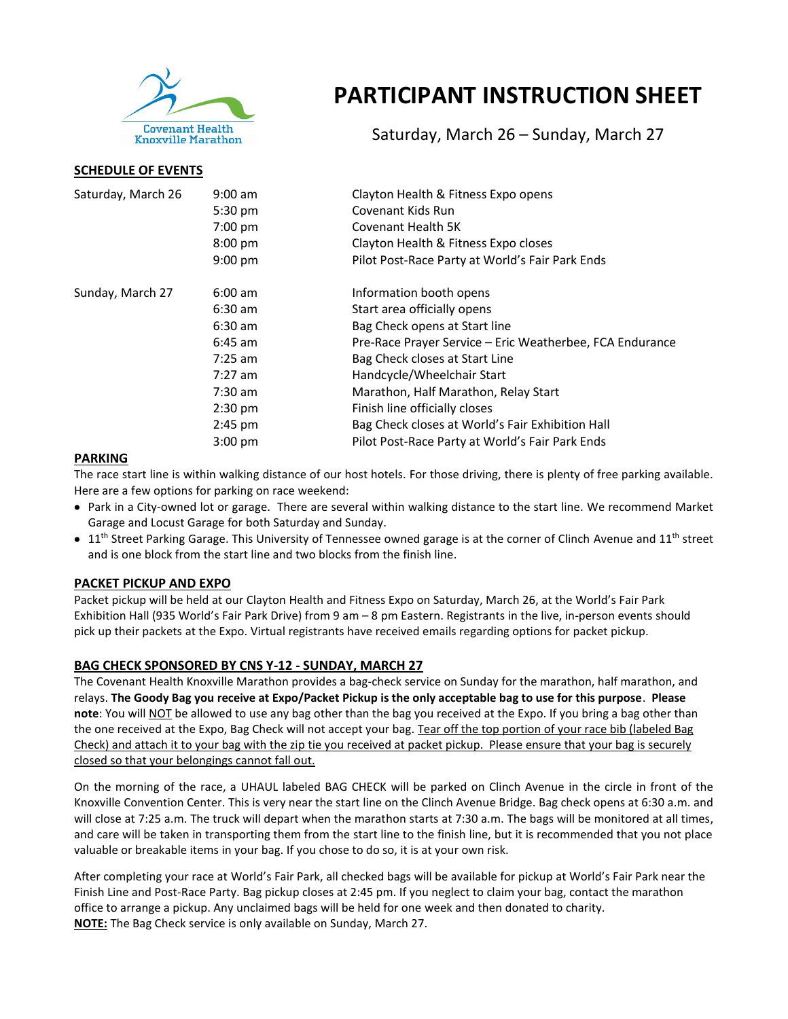

**SCHEDULE OF EVENTS**

# **PARTICIPANT INSTRUCTION SHEET**

Saturday, March 26 – Sunday, March 27

| Saturday, March 26 | $9:00$ am<br>$5:30 \text{ pm}$ | Clayton Health & Fitness Expo opens<br>Covenant Kids Run |  |
|--------------------|--------------------------------|----------------------------------------------------------|--|
|                    | 7:00 pm                        | Covenant Health 5K                                       |  |
|                    | $8:00$ pm                      | Clayton Health & Fitness Expo closes                     |  |
|                    | $9:00$ pm                      | Pilot Post-Race Party at World's Fair Park Ends          |  |
| Sunday, March 27   | $6:00$ am                      | Information booth opens                                  |  |
|                    | $6:30$ am                      | Start area officially opens                              |  |
|                    | $6:30$ am                      | Bag Check opens at Start line                            |  |
|                    | $6:45$ am                      | Pre-Race Prayer Service - Eric Weatherbee, FCA Endurance |  |
|                    | $7:25$ am                      | Bag Check closes at Start Line                           |  |
|                    | $7:27$ am                      | Handcycle/Wheelchair Start                               |  |
|                    | 7:30 am                        | Marathon, Half Marathon, Relay Start                     |  |
|                    | $2:30$ pm                      | Finish line officially closes                            |  |
|                    | $2:45$ pm                      | Bag Check closes at World's Fair Exhibition Hall         |  |
|                    | $3:00$ pm                      | Pilot Post-Race Party at World's Fair Park Ends          |  |

## **PARKING**

The race start line is within walking distance of our host hotels. For those driving, there is plenty of free parking available. Here are a few options for parking on race weekend:

- Park in a City-owned lot or garage. There are several within walking distance to the start line. We recommend Market Garage and Locust Garage for both Saturday and Sunday.
- $\bullet$  11<sup>th</sup> Street Parking Garage. This University of Tennessee owned garage is at the corner of Clinch Avenue and 11<sup>th</sup> street and is one block from the start line and two blocks from the finish line.

# **PACKET PICKUP AND EXPO**

Packet pickup will be held at our Clayton Health and Fitness Expo on Saturday, March 26, at the World's Fair Park Exhibition Hall (935 World's Fair Park Drive) from 9 am – 8 pm Eastern. Registrants in the live, in-person events should pick up their packets at the Expo. Virtual registrants have received emails regarding options for packet pickup.

# **BAG CHECK SPONSORED BY CNS Y-12 - SUNDAY, MARCH 27**

The Covenant Health Knoxville Marathon provides a bag-check service on Sunday for the marathon, half marathon, and relays. **The Goody Bag you receive at Expo/Packet Pickup is the only acceptable bag to use for this purpose**. **Please note**: You will NOT be allowed to use any bag other than the bag you received at the Expo. If you bring a bag other than the one received at the Expo, Bag Check will not accept your bag. Tear off the top portion of your race bib (labeled Bag Check) and attach it to your bag with the zip tie you received at packet pickup. Please ensure that your bag is securely closed so that your belongings cannot fall out.

On the morning of the race, a UHAUL labeled BAG CHECK will be parked on Clinch Avenue in the circle in front of the Knoxville Convention Center. This is very near the start line on the Clinch Avenue Bridge. Bag check opens at 6:30 a.m. and will close at 7:25 a.m. The truck will depart when the marathon starts at 7:30 a.m. The bags will be monitored at all times, and care will be taken in transporting them from the start line to the finish line, but it is recommended that you not place valuable or breakable items in your bag. If you chose to do so, it is at your own risk.

After completing your race at World's Fair Park, all checked bags will be available for pickup at World's Fair Park near the Finish Line and Post-Race Party. Bag pickup closes at 2:45 pm. If you neglect to claim your bag, contact the marathon office to arrange a pickup. Any unclaimed bags will be held for one week and then donated to charity. **NOTE:** The Bag Check service is only available on Sunday, March 27.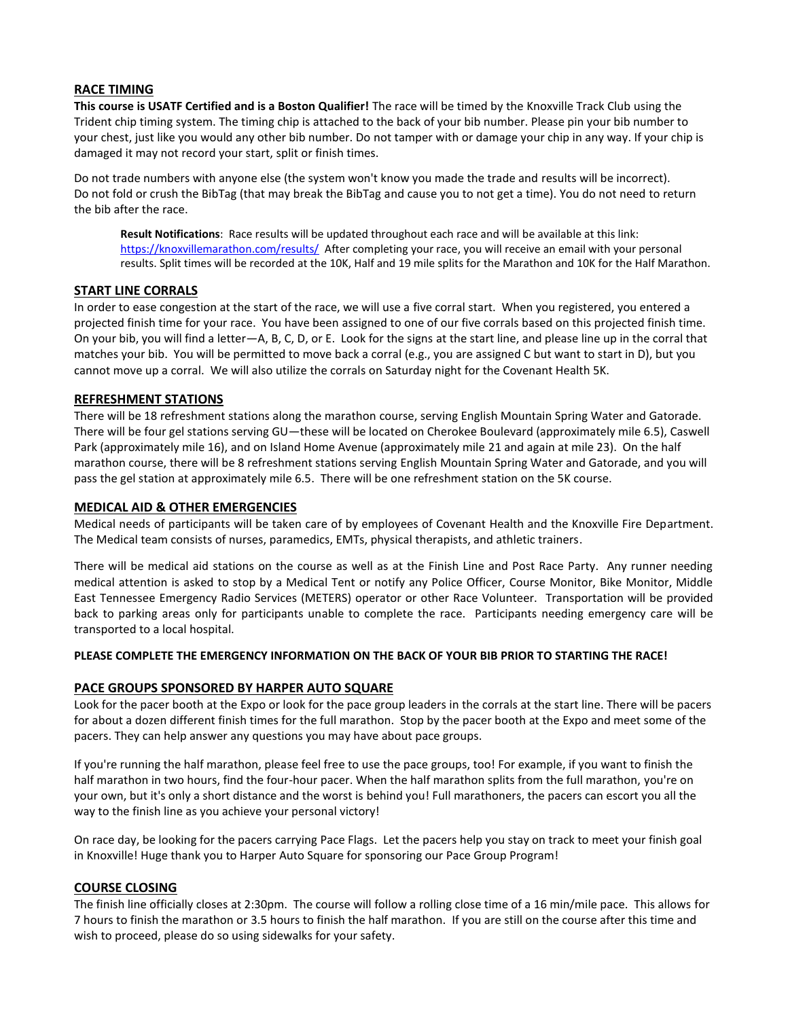## **RACE TIMING**

**This course is USATF Certified and is a Boston Qualifier!** The race will be timed by the Knoxville Track Club using the Trident chip timing system. The timing chip is attached to the back of your bib number. Please pin your bib number to your chest, just like you would any other bib number. Do not tamper with or damage your chip in any way. If your chip is damaged it may not record your start, split or finish times.

Do not trade numbers with anyone else (the system won't know you made the trade and results will be incorrect). Do not fold or crush the BibTag (that may break the BibTag and cause you to not get a time). You do not need to return the bib after the race.

**Result Notifications**: Race results will be updated throughout each race and will be available at this link: <https://knoxvillemarathon.com/results/>After completing your race, you will receive an email with your personal results. Split times will be recorded at the 10K, Half and 19 mile splits for the Marathon and 10K for the Half Marathon.

## **START LINE CORRALS**

In order to ease congestion at the start of the race, we will use a five corral start. When you registered, you entered a projected finish time for your race. You have been assigned to one of our five corrals based on this projected finish time. On your bib, you will find a letter—A, B, C, D, or E. Look for the signs at the start line, and please line up in the corral that matches your bib. You will be permitted to move back a corral (e.g., you are assigned C but want to start in D), but you cannot move up a corral. We will also utilize the corrals on Saturday night for the Covenant Health 5K.

#### **REFRESHMENT STATIONS**

There will be 18 refreshment stations along the marathon course, serving English Mountain Spring Water and Gatorade. There will be four gel stations serving GU—these will be located on Cherokee Boulevard (approximately mile 6.5), Caswell Park (approximately mile 16), and on Island Home Avenue (approximately mile 21 and again at mile 23). On the half marathon course, there will be 8 refreshment stations serving English Mountain Spring Water and Gatorade, and you will pass the gel station at approximately mile 6.5. There will be one refreshment station on the 5K course.

#### **MEDICAL AID & OTHER EMERGENCIES**

Medical needs of participants will be taken care of by employees of Covenant Health and the Knoxville Fire Department. The Medical team consists of nurses, paramedics, EMTs, physical therapists, and athletic trainers.

There will be medical aid stations on the course as well as at the Finish Line and Post Race Party. Any runner needing medical attention is asked to stop by a Medical Tent or notify any Police Officer, Course Monitor, Bike Monitor, Middle East Tennessee Emergency Radio Services (METERS) operator or other Race Volunteer. Transportation will be provided back to parking areas only for participants unable to complete the race. Participants needing emergency care will be transported to a local hospital.

#### **PLEASE COMPLETE THE EMERGENCY INFORMATION ON THE BACK OF YOUR BIB PRIOR TO STARTING THE RACE!**

## **PACE GROUPS SPONSORED BY HARPER AUTO SQUARE**

Look for the pacer booth at the Expo or look for the pace group leaders in the corrals at the start line. There will be pacers for about a dozen different finish times for the full marathon. Stop by the pacer booth at the Expo and meet some of the pacers. They can help answer any questions you may have about pace groups.

If you're running the half marathon, please feel free to use the pace groups, too! For example, if you want to finish the half marathon in two hours, find the four-hour pacer. When the half marathon splits from the full marathon, you're on your own, but it's only a short distance and the worst is behind you! Full marathoners, the pacers can escort you all the way to the finish line as you achieve your personal victory!

On race day, be looking for the pacers carrying Pace Flags. Let the pacers help you stay on track to meet your finish goal in Knoxville! Huge thank you to Harper Auto Square for sponsoring our Pace Group Program!

#### **COURSE CLOSING**

The finish line officially closes at 2:30pm. The course will follow a rolling close time of a 16 min/mile pace. This allows for 7 hours to finish the marathon or 3.5 hours to finish the half marathon. If you are still on the course after this time and wish to proceed, please do so using sidewalks for your safety.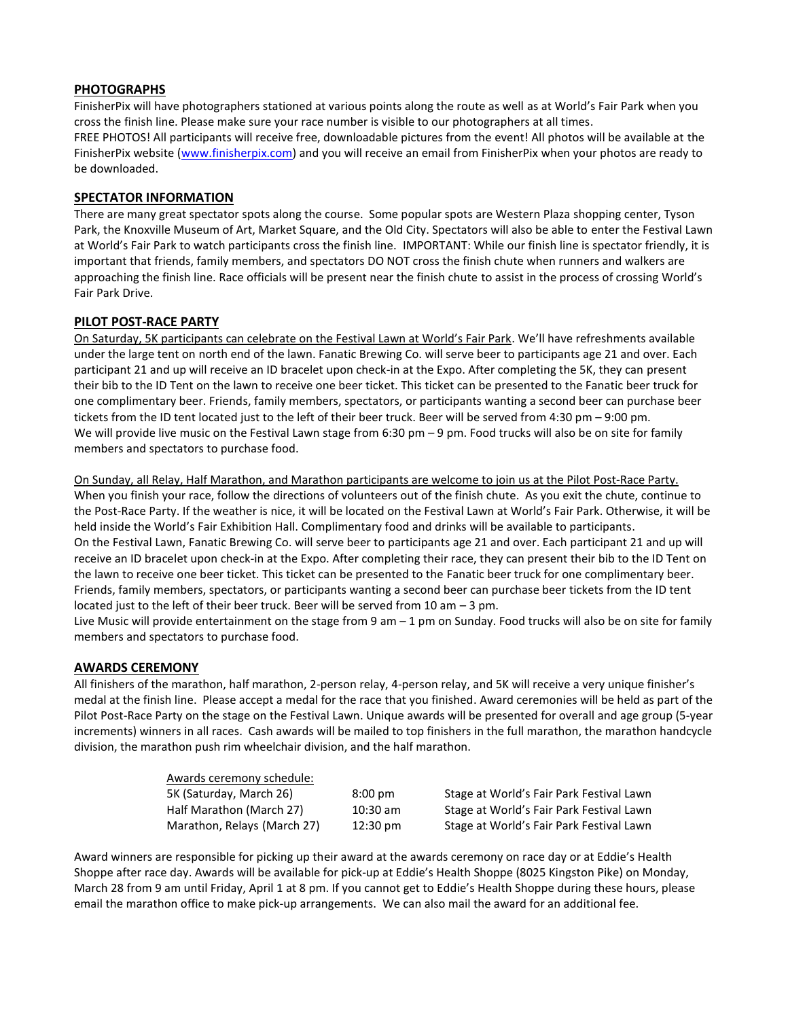## **PHOTOGRAPHS**

FinisherPix will have photographers stationed at various points along the route as well as at World's Fair Park when you cross the finish line. Please make sure your race number is visible to our photographers at all times. FREE PHOTOS! All participants will receive free, downloadable pictures from the event! All photos will be available at the FinisherPix website [\(www.finisherpix.com\)](http://www.finisherpix.com/) and you will receive an email from FinisherPix when your photos are ready to be downloaded.

## **SPECTATOR INFORMATION**

There are many great spectator spots along the course. Some popular spots are Western Plaza shopping center, Tyson Park, the Knoxville Museum of Art, Market Square, and the Old City. Spectators will also be able to enter the Festival Lawn at World's Fair Park to watch participants cross the finish line. IMPORTANT: While our finish line is spectator friendly, it is important that friends, family members, and spectators DO NOT cross the finish chute when runners and walkers are approaching the finish line. Race officials will be present near the finish chute to assist in the process of crossing World's Fair Park Drive.

## **PILOT POST-RACE PARTY**

On Saturday, 5K participants can celebrate on the Festival Lawn at World's Fair Park. We'll have refreshments available under the large tent on north end of the lawn. Fanatic Brewing Co. will serve beer to participants age 21 and over. Each participant 21 and up will receive an ID bracelet upon check-in at the Expo. After completing the 5K, they can present their bib to the ID Tent on the lawn to receive one beer ticket. This ticket can be presented to the Fanatic beer truck for one complimentary beer. Friends, family members, spectators, or participants wanting a second beer can purchase beer tickets from the ID tent located just to the left of their beer truck. Beer will be served from 4:30 pm – 9:00 pm. We will provide live music on the Festival Lawn stage from 6:30 pm – 9 pm. Food trucks will also be on site for family members and spectators to purchase food.

On Sunday, all Relay, Half Marathon, and Marathon participants are welcome to join us at the Pilot Post-Race Party. When you finish your race, follow the directions of volunteers out of the finish chute. As you exit the chute, continue to the Post-Race Party. If the weather is nice, it will be located on the Festival Lawn at World's Fair Park. Otherwise, it will be held inside the World's Fair Exhibition Hall. Complimentary food and drinks will be available to participants. On the Festival Lawn, Fanatic Brewing Co. will serve beer to participants age 21 and over. Each participant 21 and up will receive an ID bracelet upon check-in at the Expo. After completing their race, they can present their bib to the ID Tent on the lawn to receive one beer ticket. This ticket can be presented to the Fanatic beer truck for one complimentary beer. Friends, family members, spectators, or participants wanting a second beer can purchase beer tickets from the ID tent located just to the left of their beer truck. Beer will be served from 10 am – 3 pm.

Live Music will provide entertainment on the stage from 9 am – 1 pm on Sunday. Food trucks will also be on site for family members and spectators to purchase food.

## **AWARDS CEREMONY**

All finishers of the marathon, half marathon, 2-person relay, 4-person relay, and 5K will receive a very unique finisher's medal at the finish line. Please accept a medal for the race that you finished. Award ceremonies will be held as part of the Pilot Post-Race Party on the stage on the Festival Lawn. Unique awards will be presented for overall and age group (5-year increments) winners in all races. Cash awards will be mailed to top finishers in the full marathon, the marathon handcycle division, the marathon push rim wheelchair division, and the half marathon.

| Awards ceremony schedule:   |                    |                                          |
|-----------------------------|--------------------|------------------------------------------|
| 5K (Saturday, March 26)     | $8:00 \text{ pm}$  | Stage at World's Fair Park Festival Lawn |
| Half Marathon (March 27)    | $10:30$ am         | Stage at World's Fair Park Festival Lawn |
| Marathon, Relays (March 27) | $12:30 \text{ pm}$ | Stage at World's Fair Park Festival Lawn |

Award winners are responsible for picking up their award at the awards ceremony on race day or at Eddie's Health Shoppe after race day. Awards will be available for pick-up at Eddie's Health Shoppe (8025 Kingston Pike) on Monday, March 28 from 9 am until Friday, April 1 at 8 pm. If you cannot get to Eddie's Health Shoppe during these hours, please email the marathon office to make pick-up arrangements. We can also mail the award for an additional fee.